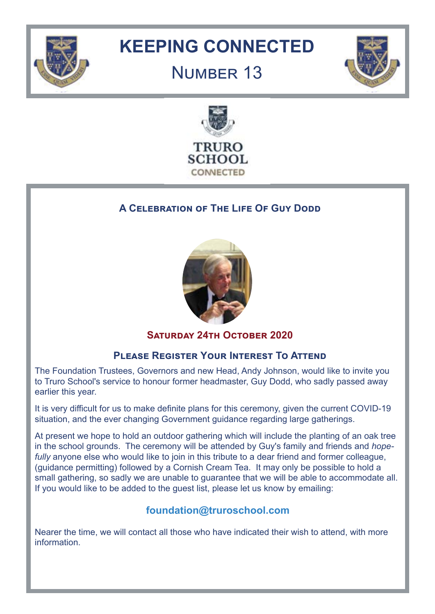

## **KEEPING CONNECTED**

### NUMBER 13





#### **A CELEBRATION OF THE LIFE OF GUY DODD**



#### **SATURDAY 24TH OCTOBER 2020**

#### **Please Register Your Interest To Attend**

The Foundation Trustees, Governors and new Head, Andy Johnson, would like to invite you to Truro School's service to honour former headmaster, Guy Dodd, who sadly passed away earlier this year.

It is very difficult for us to make definite plans for this ceremony, given the current COVID-19 situation, and the ever changing Government guidance regarding large gatherings.

At present we hope to hold an outdoor gathering which will include the planting of an oak tree in the school grounds. The ceremony will be attended by Guy's family and friends and *hopefully* anyone else who would like to join in this tribute to a dear friend and former colleague, (guidance permitting) followed by a Cornish Cream Tea. It may only be possible to hold a small gathering, so sadly we are unable to guarantee that we will be able to accommodate all. If you would like to be added to the guest list, please let us know by emailing:

#### **foundation@truroschool.com**

Nearer the time, we will contact all those who have indicated their wish to attend, with more information.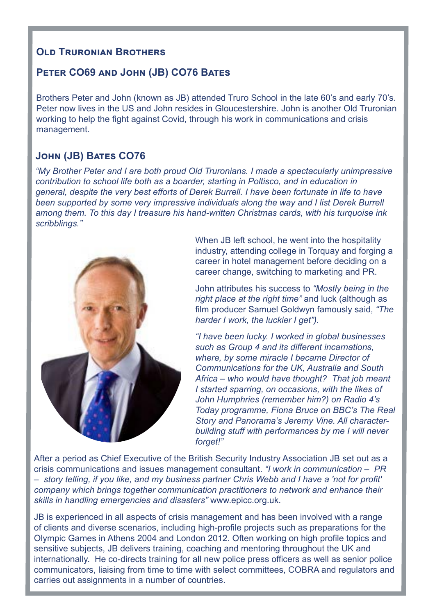#### **OID TRURONIAN BROTHERS**

#### **Peter CO69 and John (JB) CO76 Bates**

Brothers Peter and John (known as JB) attended Truro School in the late 60's and early 70's. Peter now lives in the US and John resides in Gloucestershire. John is another Old Truronian working to help the fight against Covid, through his work in communications and crisis management.

#### **John (JB) Bates CO76**

*"My Brother Peter and I are both proud Old Truronians. I made a spectacularly unimpressive contribution to school life both as a boarder, starting in Poltisco, and in education in general, despite the very best efforts of Derek Burrell. I have been fortunate in life to have been supported by some very impressive individuals along the way and I list Derek Burrell among them. To this day I treasure his hand-written Christmas cards, with his turquoise ink scribblings."* 



When JB left school, he went into the hospitality industry, attending college in Torquay and forging a career in hotel management before deciding on a career change, switching to marketing and PR.

John attributes his success to *"Mostly being in the right place at the right time"* and luck (although as film producer Samuel Goldwyn famously said, *"The harder I work, the luckier I get").* 

*"I have been lucky. I worked in global businesses such as Group 4 and its different incarnations, where, by some miracle I became Director of Communications for the UK, Australia and South Africa – who would have thought? That job meant I started sparring, on occasions, with the likes of John Humphries (remember him?) on Radio 4's Today programme, Fiona Bruce on BBC's The Real Story and Panorama's Jeremy Vine. All characterbuilding stuff with performances by me I will never forget!"*

After a period as Chief Executive of the British Security Industry Association JB set out as a crisis communications and issues management consultant. *"I work in communication – PR – story telling, if you like, and my business partner Chris Webb and I have a 'not for profit' company which brings together communication practitioners to network and enhance their skills in handling emergencies and disasters"* www.epicc.org.uk.

JB is experienced in all aspects of crisis management and has been involved with a range of clients and diverse scenarios, including high-profile projects such as preparations for the Olympic Games in Athens 2004 and London 2012. Often working on high profile topics and sensitive subjects, JB delivers training, coaching and mentoring throughout the UK and internationally. He co-directs training for all new police press officers as well as senior police communicators, liaising from time to time with select committees, COBRA and regulators and carries out assignments in a number of countries.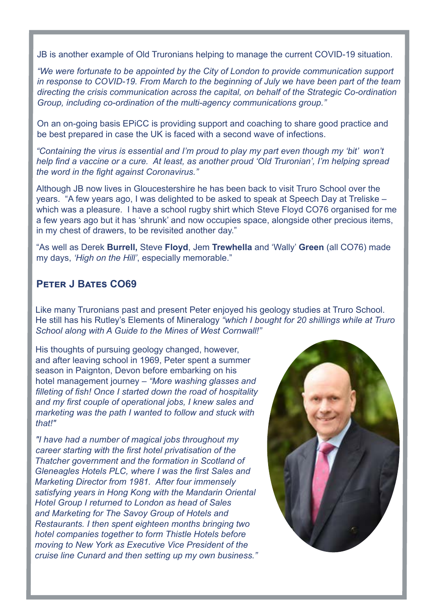JB is another example of Old Truronians helping to manage the current COVID-19 situation.

*"We were fortunate to be appointed by the City of London to provide communication support in response to COVID-19. From March to the beginning of July we have been part of the team directing the crisis communication across the capital, on behalf of the Strategic Co-ordination Group, including co-ordination of the multi-agency communications group."*

On an on-going basis EPiCC is providing support and coaching to share good practice and be best prepared in case the UK is faced with a second wave of infections.

*"Containing the virus is essential and I'm proud to play my part even though my 'bit' won't help find a vaccine or a cure. At least, as another proud 'Old Truronian', I'm helping spread the word in the fight against Coronavirus."* 

Although JB now lives in Gloucestershire he has been back to visit Truro School over the years. "A few years ago, I was delighted to be asked to speak at Speech Day at Treliske – which was a pleasure. I have a school rugby shirt which Steve Floyd CO76 organised for me a few years ago but it has 'shrunk' and now occupies space, alongside other precious items, in my chest of drawers, to be revisited another day."

"As well as Derek **Burrell,** Steve **Floyd**, Jem **Trewhella** and 'Wally' **Green** (all CO76) made my days, *'High on the Hill'*, especially memorable."

#### **Peter J Bates CO69**

Like many Truronians past and present Peter enjoyed his geology studies at Truro School. He still has his Rutley's Elements of Mineralogy *"which I bought for 20 shillings while at Truro School along with A Guide to the Mines of West Cornwall!"*

His thoughts of pursuing geology changed, however, and after leaving school in 1969, Peter spent a summer season in Paignton, Devon before embarking on his hotel management journey – *"More washing glasses and filleting of fish! Once I started down the road of hospitality and my first couple of operational jobs, I knew sales and marketing was the path I wanted to follow and stuck with that!"*

*"I have had a number of magical jobs throughout my career starting with the first hotel privatisation of the Thatcher government and the formation in Scotland of Gleneagles Hotels PLC, where I was the first Sales and Marketing Director from 1981. After four immensely satisfying years in Hong Kong with the Mandarin Oriental Hotel Group I returned to London as head of Sales and Marketing for The Savoy Group of Hotels and Restaurants. I then spent eighteen months bringing two hotel companies together to form Thistle Hotels before moving to New York as Executive Vice President of the cruise line Cunard and then setting up my own business."*

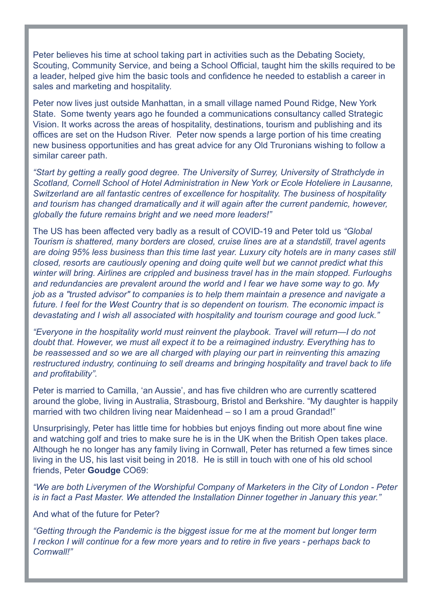Peter believes his time at school taking part in activities such as the Debating Society, Scouting, Community Service, and being a School Official, taught him the skills required to be a leader, helped give him the basic tools and confidence he needed to establish a career in sales and marketing and hospitality.

Peter now lives just outside Manhattan, in a small village named Pound Ridge, New York State. Some twenty years ago he founded a communications consultancy called Strategic Vision. It works across the areas of hospitality, destinations, tourism and publishing and its offices are set on the Hudson River. Peter now spends a large portion of his time creating new business opportunities and has great advice for any Old Truronians wishing to follow a similar career path.

*"Start by getting a really good degree. The University of Surrey, University of Strathclyde in Scotland, Cornell School of Hotel Administration in New York or Ecole Hoteliere in Lausanne, Switzerland are all fantastic centres of excellence for hospitality. The business of hospitality and tourism has changed dramatically and it will again after the current pandemic, however, globally the future remains bright and we need more leaders!"*

The US has been affected very badly as a result of COVID-19 and Peter told us *"Global Tourism is shattered, many borders are closed, cruise lines are at a standstill, travel agents are doing 95% less business than this time last year. Luxury city hotels are in many cases still closed, resorts are cautiously opening and doing quite well but we cannot predict what this winter will bring. Airlines are crippled and business travel has in the main stopped. Furloughs and redundancies are prevalent around the world and I fear we have some way to go. My job as a "trusted advisor" to companies is to help them maintain a presence and navigate a future. I feel for the West Country that is so dependent on tourism. The economic impact is devastating and I wish all associated with hospitality and tourism courage and good luck."* 

*"Everyone in the hospitality world must reinvent the playbook. Travel will return—I do not doubt that. However, we must all expect it to be a reimagined industry. Everything has to*  be reassessed and so we are all charged with playing our part in reinventing this amazing *restructured industry, continuing to sell dreams and bringing hospitality and travel back to life and profitability".*

Peter is married to Camilla, 'an Aussie', and has five children who are currently scattered around the globe, living in Australia, Strasbourg, Bristol and Berkshire. "My daughter is happily married with two children living near Maidenhead – so I am a proud Grandad!"

Unsurprisingly, Peter has little time for hobbies but enjoys finding out more about fine wine and watching golf and tries to make sure he is in the UK when the British Open takes place. Although he no longer has any family living in Cornwall, Peter has returned a few times since living in the US, his last visit being in 2018. He is still in touch with one of his old school friends, Peter **Goudge** CO69:

*"We are both Liverymen of the Worshipful Company of Marketers in the City of London - Peter is in fact a Past Master. We attended the Installation Dinner together in January this year."*

And what of the future for Peter?

*"Getting through the Pandemic is the biggest issue for me at the moment but longer term I reckon I will continue for a few more years and to retire in five years - perhaps back to Cornwall!"*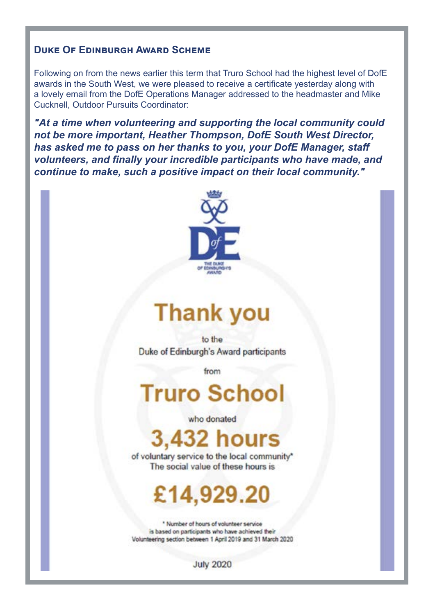#### **Duke Of Edinburgh Award Scheme**

Following on from the news earlier this term that Truro School had the highest level of DofE awards in the South West, we were pleased to receive a certificate yesterday along with a lovely email from the DofE Operations Manager addressed to the headmaster and Mike Cucknell, Outdoor Pursuits Coordinator:

*"At a time when volunteering and supporting the local community could not be more important, Heather Thompson, DofE South West Director, has asked me to pass on her thanks to you, your DofE Manager, staff volunteers, and finally your incredible participants who have made, and continue to make, such a positive impact on their local community."*



# **Thank you**

to the Duke of Edinburgh's Award participants

from

# **Truro School**

who donated

## **3,432 hours**

of voluntary service to the local community\* The social value of these hours is

# £14,929.20

\* Number of hours of volunteer service is based on participants who have achieved their Volunteering section between 1 April 2019 and 31 March 2020

**July 2020**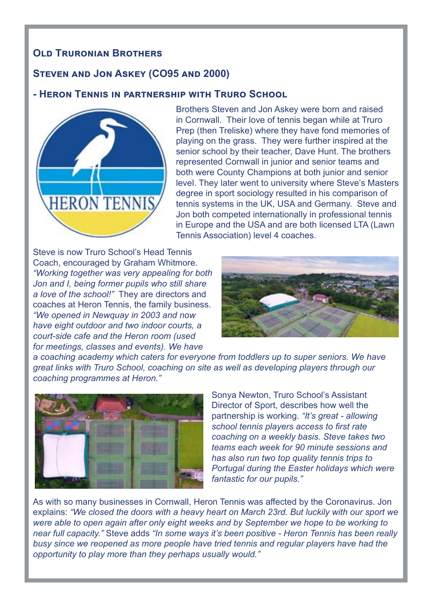#### **Old Truronian Brothers**

#### **Steven and Jon Askey (CO95 and 2000)**

#### **- Heron Tennis in partnership with Truro School**



Brothers Steven and Jon Askey were born and raised in Cornwall. Their love of tennis began while at Truro Prep (then Treliske) where they have fond memories of playing on the grass. They were further inspired at the senior school by their teacher, Dave Hunt. The brothers represented Cornwall in junior and senior teams and both were County Champions at both junior and senior level. They later went to university where Steve's Masters degree in sport sociology resulted in his comparison of tennis systems in the UK, USA and Germany. Steve and Jon both competed internationally in professional tennis in Europe and the USA and are both licensed LTA (Lawn Tennis Association) level 4 coaches.

Steve is now Truro School's Head Tennis Coach, encouraged by Graham Whitmore. *"Working together was very appealing for both Jon and I, being former pupils who still share a love of the school!"* They are directors and coaches at Heron Tennis, the family business. *"We opened in Newquay in 2003 and now have eight outdoor and two indoor courts, a court-side cafe and the Heron room (used for meetings, classes and events). We have* 



*a coaching academy which caters for everyone from toddlers up to super seniors. We have great links with Truro School, coaching on site as well as developing players through our coaching programmes at Heron."*



Sonya Newton, Truro School's Assistant Director of Sport, describes how well the partnership is working. *"It's great - allowing school tennis players access to first rate coaching on a weekly basis. Steve takes two teams each week for 90 minute sessions and has also run two top quality tennis trips to Portugal during the Easter holidays which were fantastic for our pupils."*

As with so many businesses in Cornwall, Heron Tennis was affected by the Coronavirus. Jon explains: *"We closed the doors with a heavy heart on March 23rd. But luckily with our sport we were able to open again after only eight weeks and by September we hope to be working to near full capacity."* Steve adds *"In some ways it's been positive - Heron Tennis has been really busy since we reopened as more people have tried tennis and regular players have had the opportunity to play more than they perhaps usually would."*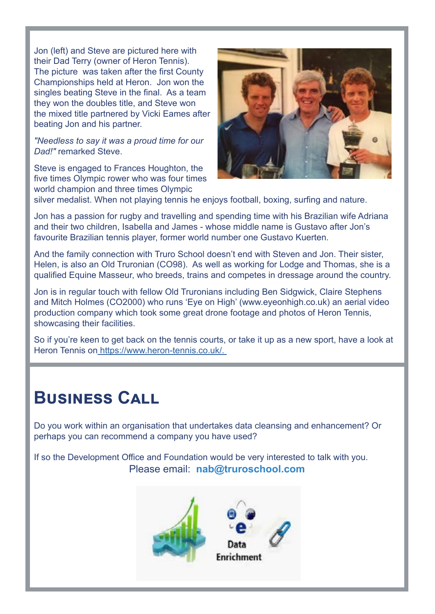Jon (left) and Steve are pictured here with their Dad Terry (owner of Heron Tennis). The picture was taken after the first County Championships held at Heron. Jon won the singles beating Steve in the final. As a team they won the doubles title, and Steve won the mixed title partnered by Vicki Eames after beating Jon and his partner.

*"Needless to say it was a proud time for our Dad!"* remarked Steve.

Steve is engaged to Frances Houghton, the five times Olympic rower who was four times world champion and three times Olympic



silver medalist. When not playing tennis he enjoys football, boxing, surfing and nature.

Jon has a passion for rugby and travelling and spending time with his Brazilian wife Adriana and their two children, Isabella and James - whose middle name is Gustavo after Jon's favourite Brazilian tennis player, former world number one Gustavo Kuerten.

And the family connection with Truro School doesn't end with Steven and Jon. Their sister, Helen, is also an Old Truronian (CO98). As well as working for Lodge and Thomas, she is a qualified Equine Masseur, who breeds, trains and competes in dressage around the country.

Jon is in regular touch with fellow Old Truronians including Ben Sidgwick, Claire Stephens and Mitch Holmes (CO2000) who runs 'Eye on High' (www.eyeonhigh.co.uk) an aerial video production company which took some great drone footage and photos of Heron Tennis, showcasing their facilities.

So if you're keen to get back on the tennis courts, or take it up as a new sport, have a look at Heron Tennis on [https://www.heron-tennis.co.uk/.]( https://www.heron-tennis.co.uk/.   ) 

### **Business Call**

Do you work within an organisation that undertakes data cleansing and enhancement? Or perhaps you can recommend a company you have used?

If so the Development Office and Foundation would be very interested to talk with you. Please email: **nab@truroschool.com**

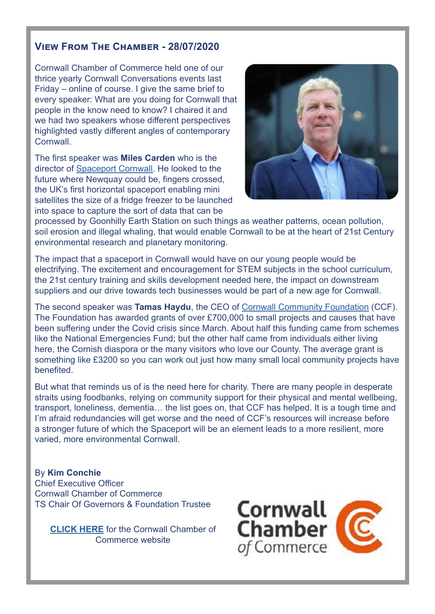#### **View From The Chamber - 28/07/2020**

Cornwall Chamber of Commerce held one of our thrice yearly Cornwall Conversations events last Friday – online of course. I give the same brief to every speaker: What are you doing for Cornwall that people in the know need to know? I chaired it and we had two speakers whose different perspectives highlighted vastly different angles of contemporary **Cornwall** 

The first speaker was **Miles Carden** who is the director of [Spaceport Cornwall](https://spaceportcornwall.com/). He looked to the future where Newquay could be, fingers crossed, the UK's first horizontal spaceport enabling mini satellites the size of a fridge freezer to be launched into space to capture the sort of data that can be



processed by Goonhilly Earth Station on such things as weather patterns, ocean pollution, soil erosion and illegal whaling, that would enable Cornwall to be at the heart of 21st Century environmental research and planetary monitoring.

The impact that a spaceport in Cornwall would have on our young people would be electrifying. The excitement and encouragement for STEM subjects in the school curriculum, the 21st century training and skills development needed here, the impact on downstream suppliers and our drive towards tech businesses would be part of a new age for Cornwall.

The second speaker was **Tamas Haydu**, the CEO of [Cornwall Community Foundation](https://www.communityfoundation.org.uk/?gclid=CjwKCAjwmf_4BRABEiwAGhDfSWqQnKke6Lt7J5YZXm9gb3Cf5fCDGGvwLYnjTvJiHz7AAhPWzEAAWhoCWO4QAvD_BwE) (CCF). The Foundation has awarded grants of over £700,000 to small projects and causes that have been suffering under the Covid crisis since March. About half this funding came from schemes like the National Emergencies Fund; but the other half came from individuals either living here, the Cornish diaspora or the many visitors who love our County. The average grant is something like £3200 so you can work out just how many small local community projects have benefited.

But what that reminds us of is the need here for charity. There are many people in desperate straits using foodbanks, relying on community support for their physical and mental wellbeing, transport, loneliness, dementia… the list goes on, that CCF has helped. It is a tough time and I'm afraid redundancies will get worse and the need of CCF's resources will increase before a stronger future of which the Spaceport will be an element leads to a more resilient, more varied, more environmental Cornwall.

#### By **Kim Conchie**

Chief Executive Officer Cornwall Chamber of Commerce TS Chair Of Governors & Foundation Trustee

**[CLICK HERE](https://www.cornwallchamber.co.uk/)** for the Cornwall Chamber of Commerce website

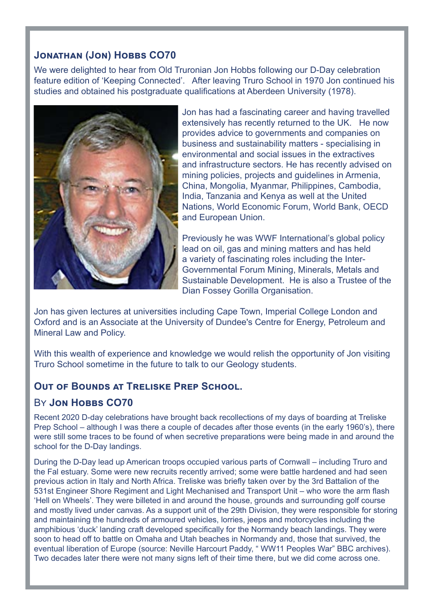#### **JONATHAN (JON) HOBBS CO70**

We were delighted to hear from Old Truronian Jon Hobbs following our D-Day celebration feature edition of 'Keeping Connected'. After leaving Truro School in 1970 Jon continued his studies and obtained his postgraduate qualifications at Aberdeen University (1978).



Jon has had a fascinating career and having travelled extensively has recently returned to the UK. He now provides advice to governments and companies on business and sustainability matters - specialising in environmental and social issues in the extractives and infrastructure sectors. He has recently advised on mining policies, projects and guidelines in Armenia, China, Mongolia, Myanmar, Philippines, Cambodia, India, Tanzania and Kenya as well at the United Nations, World Economic Forum, World Bank, OECD and European Union.

Previously he was WWF International's global policy lead on oil, gas and mining matters and has held a variety of fascinating roles including the Inter-Governmental Forum Mining, Minerals, Metals and Sustainable Development. He is also a Trustee of the Dian Fossey Gorilla Organisation.

Jon has given lectures at universities including Cape Town, Imperial College London and Oxford and is an Associate at the University of Dundee's Centre for Energy, Petroleum and Mineral Law and Policy.

With this wealth of experience and knowledge we would relish the opportunity of Jon visiting Truro School sometime in the future to talk to our Geology students.

#### **Out of Bounds at Treliske Prep School.**

#### BY **JON HOBBS CO70**

Recent 2020 D-day celebrations have brought back recollections of my days of boarding at Treliske Prep School – although I was there a couple of decades after those events (in the early 1960's), there were still some traces to be found of when secretive preparations were being made in and around the school for the D-Day landings.

During the D-Day lead up American troops occupied various parts of Cornwall – including Truro and the Fal estuary. Some were new recruits recently arrived; some were battle hardened and had seen previous action in Italy and North Africa. Treliske was briefly taken over by the 3rd Battalion of the 531st Engineer Shore Regiment and Light Mechanised and Transport Unit – who wore the arm flash 'Hell on Wheels'. They were billeted in and around the house, grounds and surrounding golf course and mostly lived under canvas. As a support unit of the 29th Division, they were responsible for storing and maintaining the hundreds of armoured vehicles, lorries, jeeps and motorcycles including the amphibious 'duck' landing craft developed specifically for the Normandy beach landings. They were soon to head off to battle on Omaha and Utah beaches in Normandy and, those that survived, the eventual liberation of Europe (source: Neville Harcourt Paddy, " WW11 Peoples War" BBC archives). Two decades later there were not many signs left of their time there, but we did come across one.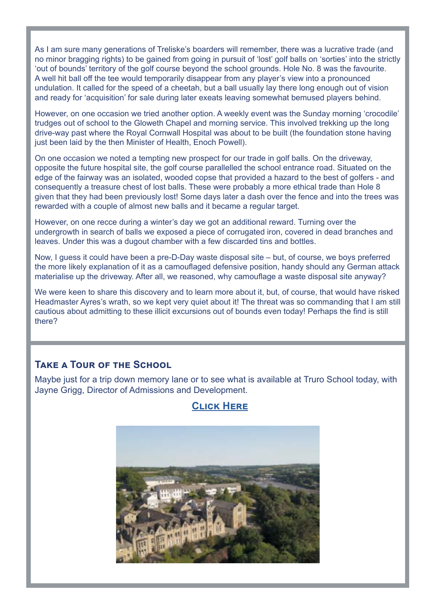As I am sure many generations of Treliske's boarders will remember, there was a lucrative trade (and no minor bragging rights) to be gained from going in pursuit of 'lost' golf balls on 'sorties' into the strictly 'out of bounds' territory of the golf course beyond the school grounds. Hole No. 8 was the favourite. A well hit ball off the tee would temporarily disappear from any player's view into a pronounced undulation. It called for the speed of a cheetah, but a ball usually lay there long enough out of vision and ready for 'acquisition' for sale during later exeats leaving somewhat bemused players behind.

However, on one occasion we tried another option. A weekly event was the Sunday morning 'crocodile' trudges out of school to the Gloweth Chapel and morning service. This involved trekking up the long drive-way past where the Royal Cornwall Hospital was about to be built (the foundation stone having just been laid by the then Minister of Health, Enoch Powell).

On one occasion we noted a tempting new prospect for our trade in golf balls. On the driveway, opposite the future hospital site, the golf course parallelled the school entrance road. Situated on the edge of the fairway was an isolated, wooded copse that provided a hazard to the best of golfers - and consequently a treasure chest of lost balls. These were probably a more ethical trade than Hole 8 given that they had been previously lost! Some days later a dash over the fence and into the trees was rewarded with a couple of almost new balls and it became a regular target.

However, on one recce during a winter's day we got an additional reward. Turning over the undergrowth in search of balls we exposed a piece of corrugated iron, covered in dead branches and leaves. Under this was a dugout chamber with a few discarded tins and bottles.

Now, I guess it could have been a pre-D-Day waste disposal site – but, of course, we boys preferred the more likely explanation of it as a camouflaged defensive position, handy should any German attack materialise up the driveway. After all, we reasoned, why camouflage a waste disposal site anyway?

We were keen to share this discovery and to learn more about it, but, of course, that would have risked Headmaster Ayres's wrath, so we kept very quiet about it! The threat was so commanding that I am still cautious about admitting to these illicit excursions out of bounds even today! Perhaps the find is still there?

#### **Take a Tour of the School**

Maybe just for a trip down memory lane or to see what is available at Truro School today, with Jayne Grigg, Director of Admissions and Development.

#### **[Click Here](https://www.truroschool.com/virtual-tour/)**

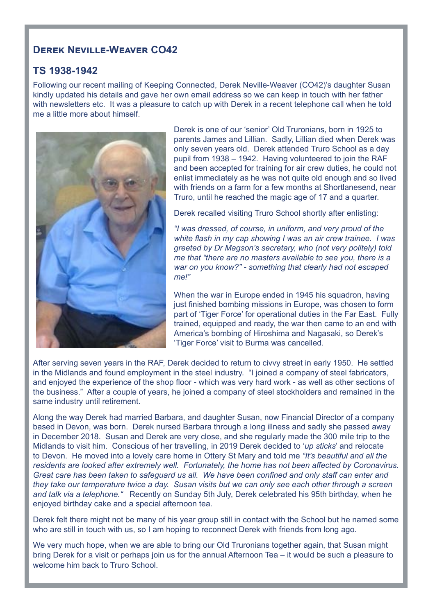#### **Derek Neville-Weaver CO42**

#### **TS 1938-1942**

Following our recent mailing of Keeping Connected, Derek Neville-Weaver (CO42)'s daughter Susan kindly updated his details and gave her own email address so we can keep in touch with her father with newsletters etc. It was a pleasure to catch up with Derek in a recent telephone call when he told me a little more about himself.



Derek is one of our 'senior' Old Truronians, born in 1925 to parents James and Lillian. Sadly, Lillian died when Derek was only seven years old. Derek attended Truro School as a day pupil from 1938 – 1942. Having volunteered to join the RAF and been accepted for training for air crew duties, he could not enlist immediately as he was not quite old enough and so lived with friends on a farm for a few months at Shortlanesend, near Truro, until he reached the magic age of 17 and a quarter.

Derek recalled visiting Truro School shortly after enlisting:

*"I was dressed, of course, in uniform, and very proud of the white flash in my cap showing I was an air crew trainee. I was greeted by Dr Magson's secretary, who (not very politely) told me that "there are no masters available to see you, there is a war on you know?" - something that clearly had not escaped me!"*

When the war in Europe ended in 1945 his squadron, having just finished bombing missions in Europe, was chosen to form part of 'Tiger Force' for operational duties in the Far East. Fully trained, equipped and ready, the war then came to an end with America's bombing of Hiroshima and Nagasaki, so Derek's 'Tiger Force' visit to Burma was cancelled.

After serving seven years in the RAF, Derek decided to return to civvy street in early 1950. He settled in the Midlands and found employment in the steel industry. "I joined a company of steel fabricators, and enjoyed the experience of the shop floor - which was very hard work - as well as other sections of the business." After a couple of years, he joined a company of steel stockholders and remained in the same industry until retirement.

Along the way Derek had married Barbara, and daughter Susan, now Financial Director of a company based in Devon, was born. Derek nursed Barbara through a long illness and sadly she passed away in December 2018. Susan and Derek are very close, and she regularly made the 300 mile trip to the Midlands to visit him. Conscious of her travelling, in 2019 Derek decided to '*up sticks*' and relocate to Devon. He moved into a lovely care home in Ottery St Mary and told me *"It's beautiful and all the residents are looked after extremely well. Fortunately, the home has not been affected by Coronavirus. Great care has been taken to safeguard us all. We have been confined and only staff can enter and they take our temperature twice a day. Susan visits but we can only see each other through a screen and talk via a telephone."* Recently on Sunday 5th July, Derek celebrated his 95th birthday, when he enjoyed birthday cake and a special afternoon tea.

Derek felt there might not be many of his year group still in contact with the School but he named some who are still in touch with us, so I am hoping to reconnect Derek with friends from long ago.

We very much hope, when we are able to bring our Old Truronians together again, that Susan might bring Derek for a visit or perhaps join us for the annual Afternoon Tea – it would be such a pleasure to welcome him back to Truro School.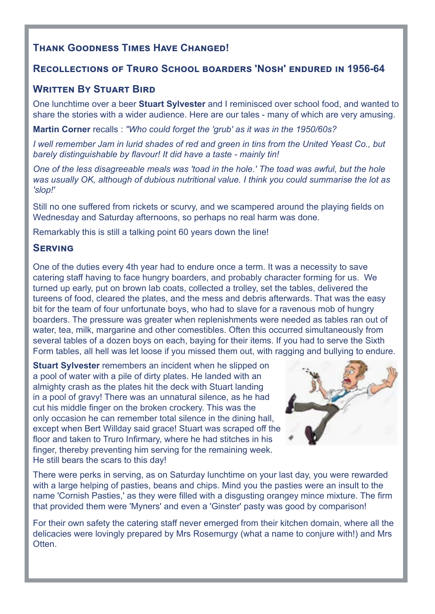#### **Thank Goodness Times Have Changed!**

#### **Recollections of Truro School boarders 'Nosh' endured in 1956-64**

#### **WRITTEN BY STUART BIRD**

One lunchtime over a beer **Stuart Sylvester** and I reminisced over school food, and wanted to share the stories with a wider audience. Here are our tales - many of which are very amusing.

**Martin Corner** recalls : *"Who could forget the 'grub' as it was in the 1950/60s?*

*I well remember Jam in lurid shades of red and green in tins from the United Yeast Co., but barely distinguishable by flavour! It did have a taste - mainly tin!* 

*One of the less disagreeable meals was 'toad in the hole.' The toad was awful, but the hole was usually OK, although of dubious nutritional value. I think you could summarise the lot as 'slop!'* 

Still no one suffered from rickets or scurvy, and we scampered around the playing fields on Wednesday and Saturday afternoons, so perhaps no real harm was done.

Remarkably this is still a talking point 60 years down the line!

#### **Serving**

One of the duties every 4th year had to endure once a term. It was a necessity to save catering staff having to face hungry boarders, and probably character forming for us. We turned up early, put on brown lab coats, collected a trolley, set the tables, delivered the tureens of food, cleared the plates, and the mess and debris afterwards. That was the easy bit for the team of four unfortunate boys, who had to slave for a ravenous mob of hungry boarders. The pressure was greater when replenishments were needed as tables ran out of water, tea, milk, margarine and other comestibles. Often this occurred simultaneously from several tables of a dozen boys on each, baying for their items. If you had to serve the Sixth Form tables, all hell was let loose if you missed them out, with ragging and bullying to endure.

**Stuart Sylvester** remembers an incident when he slipped on a pool of water with a pile of dirty plates. He landed with an almighty crash as the plates hit the deck with Stuart landing in a pool of gravy! There was an unnatural silence, as he had cut his middle finger on the broken crockery. This was the only occasion he can remember total silence in the dining hall, except when Bert Willday said grace! Stuart was scraped off the floor and taken to Truro Infirmary, where he had stitches in his finger, thereby preventing him serving for the remaining week. He still bears the scars to this day!



There were perks in serving, as on Saturday lunchtime on your last day, you were rewarded with a large helping of pasties, beans and chips. Mind you the pasties were an insult to the name 'Cornish Pasties,' as they were filled with a disgusting orangey mince mixture. The firm that provided them were 'Myners' and even a 'Ginster' pasty was good by comparison!

For their own safety the catering staff never emerged from their kitchen domain, where all the delicacies were lovingly prepared by Mrs Rosemurgy (what a name to conjure with!) and Mrs Otten.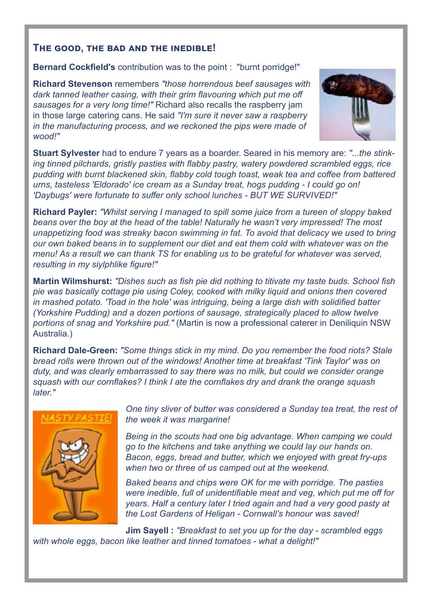#### **The good, the bad and the inedible!**

**Bernard Cockfield's** contribution was to the point : "burnt porridge!"

**Richard Stevenson** remembers *"those horrendous beef sausages with dark tanned leather casing, with their grim flavouring which put me off sausages for a very long time!"* Richard also recalls the raspberry jam in those large catering cans. He said *"I'm sure it never saw a raspberry in the manufacturing process, and we reckoned the pips were made of wood!"*



**Stuart Sylvester** had to endure 7 years as a boarder. Seared in his memory are: *"...the stinking tinned pilchards, gristly pasties with flabby pastry, watery powdered scrambled eggs, rice pudding with burnt blackened skin, flabby cold tough toast, weak tea and coffee from battered urns, tasteless 'Eldorado' ice cream as a Sunday treat, hogs pudding - I could go on! 'Daybugs' were fortunate to suffer only school lunches - BUT WE SURVIVED!"*

**Richard Payler:** *"Whilst serving I managed to spill some juice from a tureen of sloppy baked beans over the boy at the head of the table! Naturally he wasn't very impressed! The most unappetizing food was streaky bacon swimming in fat. To avoid that delicacy we used to bring our own baked beans in to supplement our diet and eat them cold with whatever was on the menu! As a result we can thank TS for enabling us to be grateful for whatever was served, resulting in my siylphlike figure!"*

**Martin Wilmshurst:** *"Dishes such as fish pie did nothing to titivate my taste buds. School fish pie was basically cottage pie using Coley, cooked with milky liquid and onions then covered in mashed potato. 'Toad in the hole' was intriguing, being a large dish with solidified batter (Yorkshire Pudding) and a dozen portions of sausage, strategically placed to allow twelve portions of snag and Yorkshire pud."* (Martin is now a professional caterer in Deniliquin NSW Australia.)

**Richard Dale-Green:** *"Some things stick in my mind. Do you remember the food riots? Stale bread rolls were thrown out of the windows! Another time at breakfast 'Tink Taylor' was on duty, and was clearly embarrassed to say there was no milk, but could we consider orange squash with our cornflakes? I think I ate the cornflakes dry and drank the orange squash later."*



*One tiny sliver of butter was considered a Sunday tea treat, the rest of the week it was margarine!*

*Being in the scouts had one big advantage. When camping we could go to the kitchens and take anything we could lay our hands on. Bacon, eggs, bread and butter, which we enjoyed with great fry-ups when two or three of us camped out at the weekend.*

*Baked beans and chips were OK for me with porridge. The pasties were inedible, full of unidentifiable meat and veg, which put me off for years. Half a century later I tried again and had a very good pasty at the Lost Gardens of Heligan - Cornwall's honour was saved!*

**Jim Sayell :** *"Breakfast to set you up for the day - scrambled eggs with whole eggs, bacon like leather and tinned tomatoes - what a delight!"*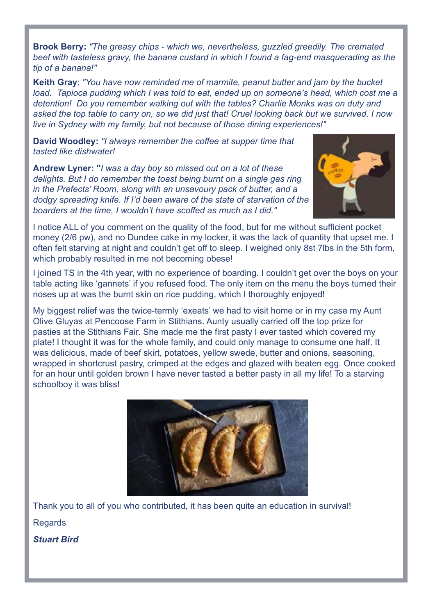**Brook Berry:** *"The greasy chips - which we, nevertheless, guzzled greedily. The cremated beef with tasteless gravy, the banana custard in which I found a fag-end masquerading as the tip of a banana!"*

**Keith Gray**: *"You have now reminded me of marmite, peanut butter and jam by the bucket load. Tapioca pudding which I was told to eat, ended up on someone's head, which cost me a detention! Do you remember walking out with the tables? Charlie Monks was on duty and asked the top table to carry on, so we did just that! Cruel looking back but we survived. I now live in Sydney with my family, but not because of those dining experiences!"*

**David Woodley:** *"I always remember the coffee at supper time that tasted like dishwater!*

**Andrew Lyner: "***I was a day boy so missed out on a lot of these delights. But I do remember the toast being burnt on a single gas ring in the Prefects' Room, along with an unsavoury pack of butter, and a dodgy spreading knife. If I'd been aware of the state of starvation of the boarders at the time, I wouldn't have scoffed as much as I did."*



I notice ALL of you comment on the quality of the food, but for me without sufficient pocket money (2/6 pw), and no Dundee cake in my locker, it was the lack of quantity that upset me. I often felt starving at night and couldn't get off to sleep. I weighed only 8st 7lbs in the 5th form, which probably resulted in me not becoming obese!

I joined TS in the 4th year, with no experience of boarding. I couldn't get over the boys on your table acting like 'gannets' if you refused food. The only item on the menu the boys turned their noses up at was the burnt skin on rice pudding, which I thoroughly enjoyed!

My biggest relief was the twice-termly 'exeats' we had to visit home or in my case my Aunt Olive Gluyas at Pencoose Farm in Stithians. Aunty usually carried off the top prize for pasties at the Stithians Fair. She made me the first pasty I ever tasted which covered my plate! I thought it was for the whole family, and could only manage to consume one half. It was delicious, made of beef skirt, potatoes, yellow swede, butter and onions, seasoning, wrapped in shortcrust pastry, crimped at the edges and glazed with beaten egg. Once cooked for an hour until golden brown I have never tasted a better pasty in all my life! To a starving schoolboy it was bliss!



Thank you to all of you who contributed, it has been quite an education in survival! **Regards** 

*Stuart Bird*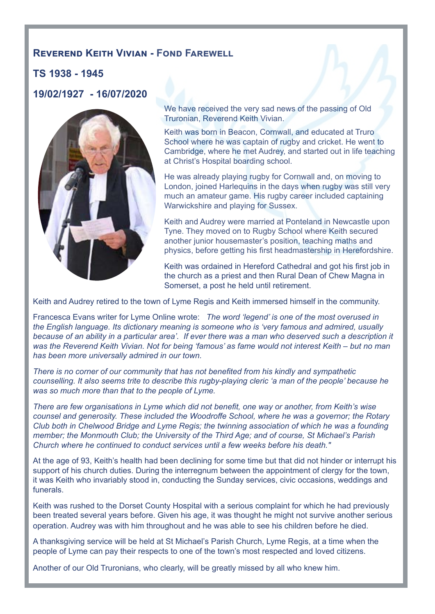#### **Reverend Keith Vivian - Fond Farewell**

#### **TS 1938 - 1945**

**19/02/1927 - 16/07/2020**



We have received the very sad news of the passing of Old Truronian, Reverend Keith Vivian.

Keith was born in Beacon, Cornwall, and educated at Truro School where he was captain of rugby and cricket. He went to Cambridge, where he met Audrey, and started out in life teaching at Christ's Hospital boarding school.

He was already playing rugby for Cornwall and, on moving to London, joined Harlequins in the days when rugby was still very much an amateur game. His rugby career included captaining Warwickshire and playing for Sussex.

Keith and Audrey were married at Ponteland in Newcastle upon Tyne. They moved on to Rugby School where Keith secured another junior housemaster's position, teaching maths and physics, before getting his first headmastership in Herefordshire.

Keith was ordained in Hereford Cathedral and got his first job in the church as a priest and then Rural Dean of Chew Magna in Somerset, a post he held until retirement.

Keith and Audrey retired to the town of Lyme Regis and Keith immersed himself in the community.

Francesca Evans writer for Lyme Online wrote: *The word 'legend' is one of the most overused in the English language. Its dictionary meaning is someone who is 'very famous and admired, usually because of an ability in a particular area'. If ever there was a man who deserved such a description it was the Reverend Keith Vivian. Not for being 'famous' as fame would not interest Keith – but no man has been more universally admired in our town.*

*There is no corner of our community that has not benefited from his kindly and sympathetic counselling. It also seems trite to describe this rugby-playing cleric 'a man of the people' because he was so much more than that to the people of Lyme.*

*There are few organisations in Lyme which did not benefit, one way or another, from Keith's wise counsel and generosity. These included the Woodroffe School, where he was a governor; the Rotary Club both in Chelwood Bridge and Lyme Regis; the twinning association of which he was a founding member; the Monmouth Club; the University of the Third Age; and of course, St Michael's Parish Church where he continued to conduct services until a few weeks before his death."*

At the age of 93, Keith's health had been declining for some time but that did not hinder or interrupt his support of his church duties. During the interregnum between the appointment of clergy for the town, it was Keith who invariably stood in, conducting the Sunday services, civic occasions, weddings and funerals.

Keith was rushed to the Dorset County Hospital with a serious complaint for which he had previously been treated several years before. Given his age, it was thought he might not survive another serious operation. Audrey was with him throughout and he was able to see his children before he died.

A thanksgiving service will be held at St Michael's Parish Church, Lyme Regis, at a time when the people of Lyme can pay their respects to one of the town's most respected and loved citizens.

Another of our Old Truronians, who clearly, will be greatly missed by all who knew him.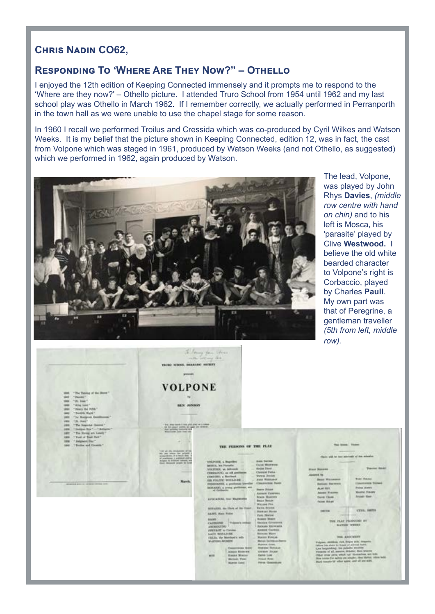#### **Chris Nadin CO62,**

#### **Responding To 'Where Are They Now?" – Othello**

I enjoyed the 12th edition of Keeping Connected immensely and it prompts me to respond to the 'Where are they now?' – Othello picture. I attended Truro School from 1954 until 1962 and my last school play was Othello in March 1962. If I remember correctly, we actually performed in Perranporth in the town hall as we were unable to use the chapel stage for some reason.

In 1960 I recall we performed Troilus and Cressida which was co-produced by Cyril Wilkes and Watson Weeks. It is my belief that the picture shown in Keeping Connected, edition 12, was in fact, the cast from Volpone which was staged in 1961, produced by Watson Weeks (and not Othello, as suggested) which we performed in 1962, again produced by Watson.



The lead, Volpone, was played by John Rhys **Davies**, *(middle row centre with hand on chin)* and to his left is Mosca, his 'parasite' played by Clive **Westwood.** I believe the old white bearded character to Volpone's right is Corbaccio, played by Charles **Paull**. My own part was that of Peregrine, a gentleman traveller *(5th from left, middle row).*

| "The Toyotag of the Shore"<br>past.<br>-T Render T<br><b>SHEET</b><br>T. PL. Alast T.<br><b>THE R</b><br>" King Love"<br>-<br>"Heaty the Pyra"<br><b>SERVICE</b><br>Tendide Blank T<br>-<br>"Tel. Phontiprink Fleetelburges"<br>$-$<br>THE Bank?<br><b>FREE</b>                   | VALUE NINCE, SEARAND SERVICE<br>presents.<br><b>VOLPONE</b><br><b>BAN JUNISIPE</b><br>The down wants it was plate allow up to think                                                                                                                                                             | To Mary Jan Stereo<br>called all and call.                                                                                                                                                                                                                                                                                                                                                                                                                                                                                                                                                                                                                                                       |                                                                                                                                                                                                                                                                                                                                                                                                                                                                                                                                                                                                                                                   | $\cdots$                                                                                                                                                                                                                                                                                                                                                                                                                                                                                                                                                                                                       |                                                                                                                                                                                                                       |
|-----------------------------------------------------------------------------------------------------------------------------------------------------------------------------------------------------------------------------------------------------------------------------------|-------------------------------------------------------------------------------------------------------------------------------------------------------------------------------------------------------------------------------------------------------------------------------------------------|--------------------------------------------------------------------------------------------------------------------------------------------------------------------------------------------------------------------------------------------------------------------------------------------------------------------------------------------------------------------------------------------------------------------------------------------------------------------------------------------------------------------------------------------------------------------------------------------------------------------------------------------------------------------------------------------------|---------------------------------------------------------------------------------------------------------------------------------------------------------------------------------------------------------------------------------------------------------------------------------------------------------------------------------------------------------------------------------------------------------------------------------------------------------------------------------------------------------------------------------------------------------------------------------------------------------------------------------------------------|----------------------------------------------------------------------------------------------------------------------------------------------------------------------------------------------------------------------------------------------------------------------------------------------------------------------------------------------------------------------------------------------------------------------------------------------------------------------------------------------------------------------------------------------------------------------------------------------------------------|-----------------------------------------------------------------------------------------------------------------------------------------------------------------------------------------------------------------------|
| "The hopester thermal "<br>panel.<br><b>Sedan Bra T.L.T. Antigres **</b><br><b>ARTISE</b><br>"The fining art Loads"<br><b>SMIT</b><br>" Ford of Book Net."<br><b>VALUE</b><br>7 Selgment Blut 1<br>1876<br>"Finite and Green's"<br><b>Laker</b><br>attacks in the other model and | the three planes service, we take one bettings.<br>Aux quickly converts and<br>Wassigner, Jane Vell 540<br>TOP US (Re detabately at his<br>the age when the printers.<br>of pretioned, it pretional station.<br>Anisota to interest vehicle, wh<br>tion. Howard pright to have<br><b>March.</b> | THE PERSON OF THE PLAY<br>tecturement, a Magneties<br><b>ARTISTS, Inc. Partners</b><br>site retard, as Adverses<br>CORRACCIO, as old gentimens<br>gracetonic, a Matchard.<br><b>HIS FOLDING MOULD BE </b><br>FERRICANSE, a goodman bleviller<br><b>SEVERAGES, a proced provincials, with</b><br>at Corboner<br>AVIOLATIONS, first Magnetowner<br>SERVICES, the Three of the Conet<br><b>BAFFE</b> , Mass Police<br><b>SAMI</b><br>CASTRONE -<br>Thusan's integr<br>AREHOUTERS<br><b>USEFART</b> to Unideo<br>LLIV WALL-RE<br>1725.15. Via Monthard's tells<br>WATERS ROMEN<br>Commercial Bold<br>Alexan Riveries<br><b>Keise Maler</b><br><b>MOVIE</b><br>Wartschl, Timel<br><b>Monter Sales</b> | <b>June Barner</b><br><b>DAYS WASHING</b><br><b>Nodes Trees</b><br><b>Clusters</b> Patts<br>Verala Josian<br><b>Jour Williams</b><br><b>Characteristic Plants</b><br><b>Harry Disast</b><br>Alexandre Calabridae<br><b>Johns Houven</b><br><b>Basica Watson</b><br>Witnisd Fire<br>Early, Brigans<br><b>BURGET BLAKE</b><br>Fun. Norton<br><b>Boards Steer</b><br><b>Slaving Corporates</b><br><b>Raticald Winterston</b><br>AUGUST CAPENA<br><b>Barmage Move</b><br><b>Honour Foreign</b><br><b>Renair Estimate channel</b><br>Museum Lewis<br>Highland Throad all<br>Anna Russ<br><b>Kenne Luxe</b><br><b>Ritiand Plane</b><br>Forni Chiesenawe | <b>The Stands Theme</b><br>Flash will be has asteroate of the missaics<br><b>STALE TRANSPORT</b><br>Associated Har.<br><b>Data Williams</b><br><b>Ballant Bastern</b><br>ALLAN MINT<br>Januar Frazmy<br>THIR CENT.<br>Fatos Miked<br>19739.<br>THE REAL PROPERTY BY<br><b><i>BLATINGS: WIESUES</i></b><br>WAS ABOUNDED<br>Volume catches, rich, finine and, despatio.<br>rative his state to topas of general home<br>lice beginning; tre patente excesse<br>Forgotte of all agents, debuter, Here Steered<br>chief one year went not thousands, we went<br>Back tunatia bill refere again, and all are suits. | <b>Vauront Books</b><br><b>Boar Champ</b><br><b>Installment Stonet</b><br><b>Player Avenue</b><br><b>Missilla Classes</b><br>Arrest West<br>CTER, SMITH<br>Birm trinks for substance simpler, they thoma; edges ladd- |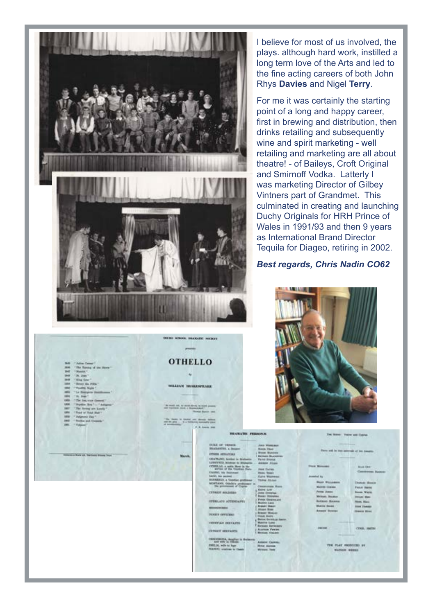

I believe for most of us involved, the plays. although hard work, instilled a long term love of the Arts and led to the fine acting careers of both John Rhys **Davies** and Nigel **Terry**.

For me it was certainly the starting point of a long and happy career, first in brewing and distribution, then drinks retailing and subsequently wine and spirit marketing - well retailing and marketing are all about theatre! - of Baileys, Croft Original and Smirnoff Vodka. Latterly I was marketing Director of Gilbey Vintners part of Grandmet. This culminated in creating and launching Duchy Originals for HRH Prince of Wales in 1991/93 and then 9 years as International Brand Director Tequila for Diageo, retiring in 2002.

#### *Best regards, Chris Nadin CO62*



| <b>BRANATIS FERNING</b>                                                   |                                             | THE WINNER THROW AND ELECTRIC |                                             |  |
|---------------------------------------------------------------------------|---------------------------------------------|-------------------------------|---------------------------------------------|--|
| DOCK OF VIOLAGE.                                                          | Alara Wasseland                             |                               |                                             |  |
| <b>SEASANTH, a Seager</b>                                                 | <b>Bishik Died</b>                          |                               | Plays will be two intervals of the measure- |  |
| <b>CONSULTANTS AND ALL CONSULTS</b>                                       | <b>I Went Business</b>                      |                               |                                             |  |
| USATIANIL bentler to Drahams - Take Storage                               | <b>Barnets MADERING</b>                     |                               |                                             |  |
| LODOVICO, Minimiar de Brahamia  Antanas Jelasan                           |                                             |                               |                                             |  |
| OTHREAD, a week them in his                                               |                                             | <b>Stark Monager --</b>       | <b>BIAK DIST</b>                            |  |
| - - announced the Valence Pieter                                          | <b>Base Illumes</b><br>٠                    |                               |                                             |  |
| <b>Clarifier, the Seattement</b>                                          | Hook, Texas:                                |                               | <b>Convenient Busine</b>                    |  |
| beacht, his policer                                                       | <b>Thrid Winnesom</b>                       | <b>Assistant Ave.</b>         |                                             |  |
| <b>BIX/NEWAL a Venetian profilement</b><br>MANTANIE (Intuite's profitment | <b>Toront Attitude</b>                      | <b>Blues Williamson</b>       | <b>Domas Massie</b>                         |  |
| The government of County.                                                 | Contentains Maint                           | Morrison Comme                | <b>Fall of Hards</b>                        |  |
|                                                                           | <b>Koled Liver:</b>                         | Paina Awas.                   |                                             |  |
| <b>CYPRICH WAJNERS</b>                                                    | Jones (Drewton)                             |                               | <b>Book Ware</b>                            |  |
| $-111$                                                                    | <b>RUALL REGISTER</b><br>Ferras Garanta and | <b>Windows, Shoulder</b>      | <b>Present State</b>                        |  |
| STEELADS ATTORNAMES                                                       | Mukini Lioni                                | <b>BATIONS MILKING</b>        | <b>Morris, Middle</b>                       |  |
| <b><i>RESIGNABLE</i></b>                                                  | <b>Renter Bears</b>                         | Museum Stevens /              | <b><i><u>ISSN</u></i></b> FIAAAGE           |  |
|                                                                           | <b>Atuan Brees</b>                          | <b>Alcass Towns</b>           | <b>Smore Bluer</b>                          |  |
| <b>PERRY OFFICERS</b>                                                     | <b>Breast Winner</b><br>I TOUR Booter       |                               |                                             |  |
|                                                                           | Berine Germana Hastin                       |                               |                                             |  |
| FIRST CONTRACTOR                                                          | <b>Wondoo Groot</b>                         |                               |                                             |  |
|                                                                           | Renan Kermury                               | <b><i>ERECOME</i></b>         | CENIL PRITE                                 |  |
| <b>CONSUM UNKNAME</b>                                                     | Accesso Feward                              |                               |                                             |  |
|                                                                           | <b>British Children</b>                     |                               |                                             |  |
| DENDERSONAL designer is designers.                                        | Antacor Casway.                             |                               |                                             |  |
| EMILIA, wife to have                                                      | <b>Brief Aknee</b>                          | THE FLAT FRODUCED BE          |                                             |  |
| <b>NEALTICE</b> , relational for Classics                                 | Writism, Test<br>٠                          | WATCOM NINHOLE                |                                             |  |

**WILLIAM MELECULARS**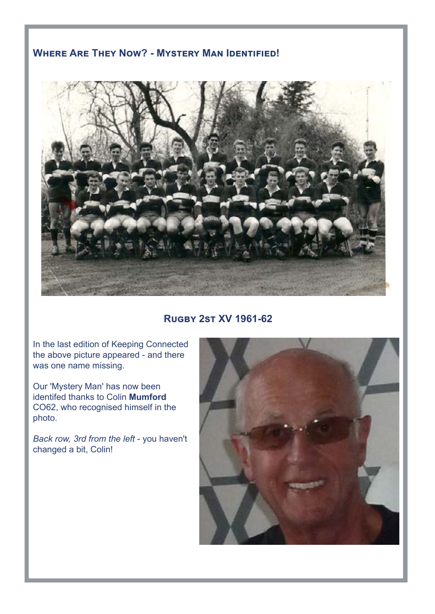#### **Where Are They Now? - Mystery Man Identified!**



**Rugby 2st XV 1961-62**

In the last edition of Keeping Connected the above picture appeared - and there was one name missing.

Our 'Mystery Man' has now been identifed thanks to Colin **Mumford** CO62, who recognised himself in the photo.

*Back row, 3rd from the left* - you haven't changed a bit, Colin!

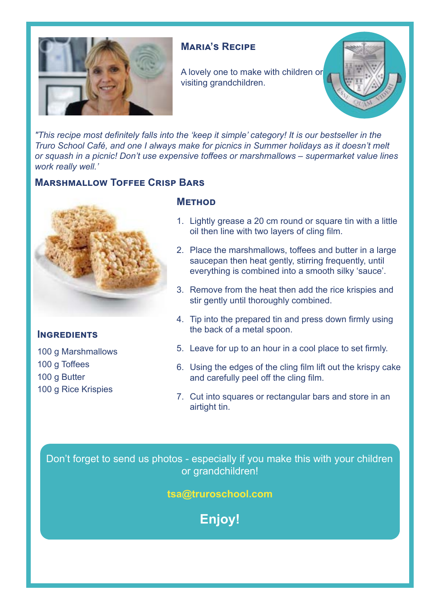

#### **Maria's Recipe**

A lovely one to make with children or visiting grandchildren.



*"This recipe most definitely falls into the 'keep it simple' category! It is our bestseller in the Truro School Café, and one I always make for picnics in Summer holidays as it doesn't melt or squash in a picnic! Don't use expensive toffees or marshmallows – supermarket value lines work really well.'*

#### **Marshmallow Toffee Crisp Bars**



#### **Ingredients**

100 g Marshmallows 100 g Toffees 100 g Butter 100 g Rice Krispies

#### **Method**

- 1. Lightly grease a 20 cm round or square tin with a little oil then line with two layers of cling film.
- 2. Place the marshmallows, toffees and butter in a large saucepan then heat gently, stirring frequently, until everything is combined into a smooth silky 'sauce'.
- 3. Remove from the heat then add the rice krispies and stir gently until thoroughly combined.
- 4. Tip into the prepared tin and press down firmly using the back of a metal spoon.
- 5. Leave for up to an hour in a cool place to set firmly.
- 6. Using the edges of the cling film lift out the krispy cake and carefully peel off the cling film.
- 7. Cut into squares or rectangular bars and store in an airtight tin.

Don't forget to send us photos - especially if you make this with your children or grandchildren!

**tsa@truroschool.com** 

**Enjoy!**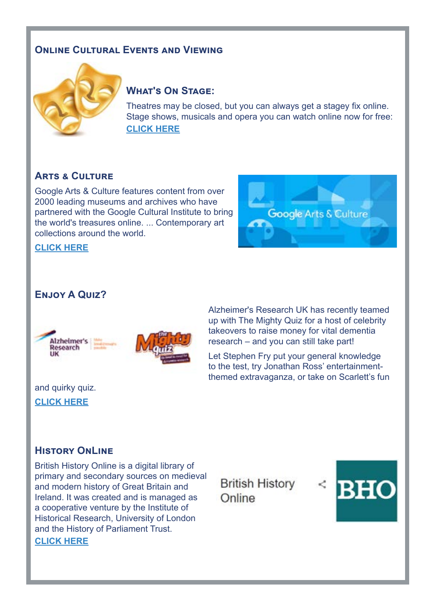#### **Online Cultural Events and Viewing**



#### **What's On Stage:**

Theatres may be closed, but you can always get a stagey fix online. Stage shows, musicals and opera you can watch online now for free: **[CLICK HERE](https://www.whatsonstage.com/london-theatre/news/stage-shows-musicals-opera-free-stream-online_51198.html)**

#### **Arts & Culture**

Google Arts & Culture features content from over 2000 leading museums and archives who have partnered with the Google Cultural Institute to bring the world's treasures online. ... Contemporary art collections around the world.



**[CLICK HERE](https://artsandculture.google.com/)**

#### **Enjoy A Quiz?**



Alzheimer's Research UK has recently teamed up with The Mighty Quiz for a host of celebrity takeovers to raise money for vital dementia research – and you can still take part!

Let Stephen Fry put your general knowledge to the test, try Jonathan Ross' entertainmentthemed extravaganza, or take on Scarlett's fun

### and quirky quiz.

**[CLICK HERE](https://www.alzheimersresearchuk.org/themightyquiz/get-virtual/?gclid=EAIaIQobChMI0PO9qPXv6gIVVeN3Ch27qg5HEAAYASAAEgJtXvD_BwE)**

#### **History OnLine**

British History Online is a digital library of primary and secondary sources on medieval and modern history of Great Britain and Ireland. It was created and is managed as a cooperative venture by the Institute of Historical Research, University of London and the History of Parliament Trust. **[CLICK HERE](https://www.british-history.ac.uk/)**

**British History** Online